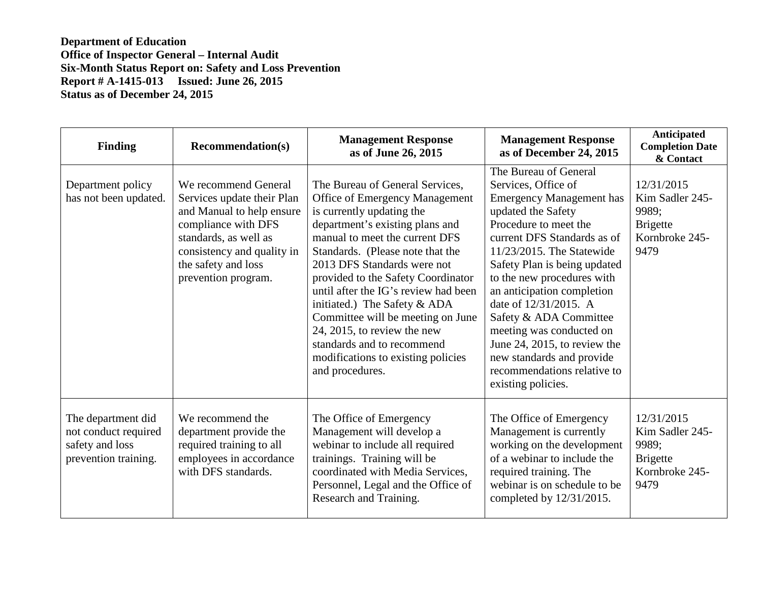**Department of Education Office of Inspector General – Internal Audit Six-Month Status Report on: Safety and Loss Prevention Report # A-1415-013 Issued: June 26, 2015 Status as of December 24, 2015** 

| <b>Finding</b>                                                                        | <b>Recommendation(s)</b>                                                                                                                                                                                    | <b>Management Response</b><br>as of June 26, 2015                                                                                                                                                                                                                                                                                                                                                                                                                                                               | <b>Management Response</b><br>as of December 24, 2015                                                                                                                                                                                                                                                                                                                                                                                                                                   | Anticipated<br><b>Completion Date</b><br>& Contact                                  |
|---------------------------------------------------------------------------------------|-------------------------------------------------------------------------------------------------------------------------------------------------------------------------------------------------------------|-----------------------------------------------------------------------------------------------------------------------------------------------------------------------------------------------------------------------------------------------------------------------------------------------------------------------------------------------------------------------------------------------------------------------------------------------------------------------------------------------------------------|-----------------------------------------------------------------------------------------------------------------------------------------------------------------------------------------------------------------------------------------------------------------------------------------------------------------------------------------------------------------------------------------------------------------------------------------------------------------------------------------|-------------------------------------------------------------------------------------|
| Department policy<br>has not been updated.                                            | We recommend General<br>Services update their Plan<br>and Manual to help ensure<br>compliance with DFS<br>standards, as well as<br>consistency and quality in<br>the safety and loss<br>prevention program. | The Bureau of General Services,<br>Office of Emergency Management<br>is currently updating the<br>department's existing plans and<br>manual to meet the current DFS<br>Standards. (Please note that the<br>2013 DFS Standards were not<br>provided to the Safety Coordinator<br>until after the IG's review had been<br>initiated.) The Safety & ADA<br>Committee will be meeting on June<br>24, 2015, to review the new<br>standards and to recommend<br>modifications to existing policies<br>and procedures. | The Bureau of General<br>Services, Office of<br><b>Emergency Management has</b><br>updated the Safety<br>Procedure to meet the<br>current DFS Standards as of<br>11/23/2015. The Statewide<br>Safety Plan is being updated<br>to the new procedures with<br>an anticipation completion<br>date of 12/31/2015. A<br>Safety & ADA Committee<br>meeting was conducted on<br>June 24, 2015, to review the<br>new standards and provide<br>recommendations relative to<br>existing policies. | 12/31/2015<br>Kim Sadler 245-<br>9989:<br><b>Brigette</b><br>Kornbroke 245-<br>9479 |
| The department did<br>not conduct required<br>safety and loss<br>prevention training. | We recommend the<br>department provide the<br>required training to all<br>employees in accordance<br>with DFS standards.                                                                                    | The Office of Emergency<br>Management will develop a<br>webinar to include all required<br>trainings. Training will be<br>coordinated with Media Services,<br>Personnel, Legal and the Office of<br>Research and Training.                                                                                                                                                                                                                                                                                      | The Office of Emergency<br>Management is currently<br>working on the development<br>of a webinar to include the<br>required training. The<br>webinar is on schedule to be<br>completed by 12/31/2015.                                                                                                                                                                                                                                                                                   | 12/31/2015<br>Kim Sadler 245-<br>9989;<br><b>Brigette</b><br>Kornbroke 245-<br>9479 |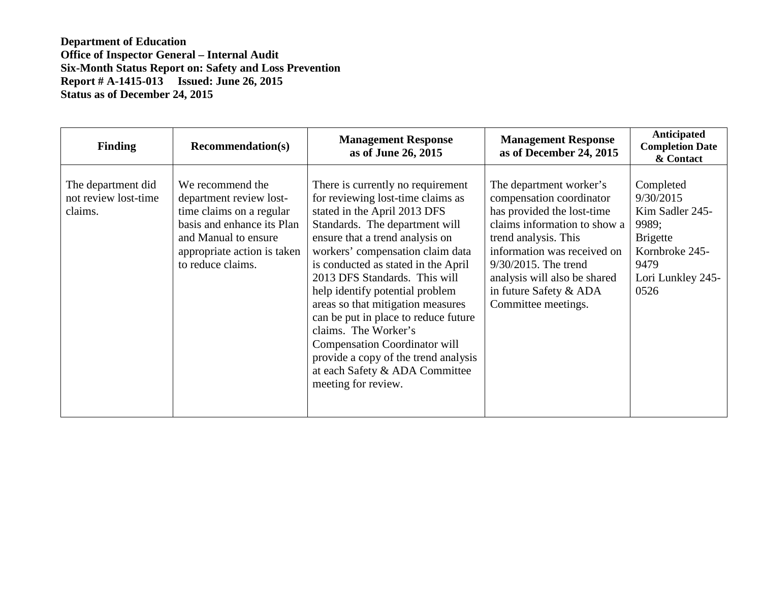**Department of Education Office of Inspector General – Internal Audit Six-Month Status Report on: Safety and Loss Prevention Report # A-1415-013 Issued: June 26, 2015 Status as of December 24, 2015** 

| <b>Finding</b>                                        | <b>Recommendation(s)</b>                                                                                                                                                          | <b>Management Response</b><br>as of June 26, 2015                                                                                                                                                                                                                                                                                                                                                                                                                                                                                                                        | <b>Management Response</b><br>as of December 24, 2015                                                                                                                                                                                                                             | <b>Anticipated</b><br><b>Completion Date</b><br>& Contact                                                                    |
|-------------------------------------------------------|-----------------------------------------------------------------------------------------------------------------------------------------------------------------------------------|--------------------------------------------------------------------------------------------------------------------------------------------------------------------------------------------------------------------------------------------------------------------------------------------------------------------------------------------------------------------------------------------------------------------------------------------------------------------------------------------------------------------------------------------------------------------------|-----------------------------------------------------------------------------------------------------------------------------------------------------------------------------------------------------------------------------------------------------------------------------------|------------------------------------------------------------------------------------------------------------------------------|
| The department did<br>not review lost-time<br>claims. | We recommend the<br>department review lost-<br>time claims on a regular<br>basis and enhance its Plan<br>and Manual to ensure<br>appropriate action is taken<br>to reduce claims. | There is currently no requirement<br>for reviewing lost-time claims as<br>stated in the April 2013 DFS<br>Standards. The department will<br>ensure that a trend analysis on<br>workers' compensation claim data<br>is conducted as stated in the April<br>2013 DFS Standards. This will<br>help identify potential problem<br>areas so that mitigation measures<br>can be put in place to reduce future<br>claims. The Worker's<br><b>Compensation Coordinator will</b><br>provide a copy of the trend analysis<br>at each Safety & ADA Committee<br>meeting for review. | The department worker's<br>compensation coordinator<br>has provided the lost-time<br>claims information to show a<br>trend analysis. This<br>information was received on<br>9/30/2015. The trend<br>analysis will also be shared<br>in future Safety & ADA<br>Committee meetings. | Completed<br>9/30/2015<br>Kim Sadler 245-<br>9989;<br><b>Brigette</b><br>Kornbroke 245-<br>9479<br>Lori Lunkley 245-<br>0526 |